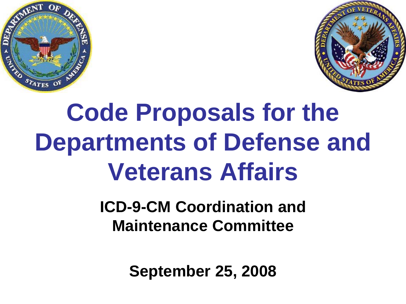



# **Code Proposals for the Departments of Defense and Veterans Affairs**

#### **ICD-9-CM Coordination and Maintenance Committee**

**September 25, 2008**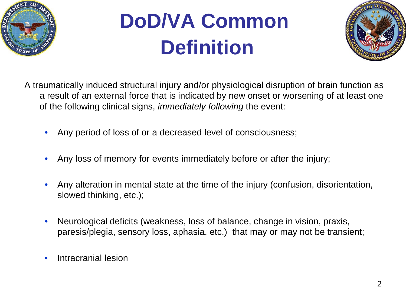

# **DoD/VA Common Definition**



- A traumatically induced structural injury and/or physiological disruption of brain function as a result of an external force that is indicated by new onset or worsening of at least one of the following clinical signs, *immediately following* the event:
	- Any period of loss of or a decreased level of consciousness;
	- Any loss of memory for events immediately before or after the injury;
	- Any alteration in mental state at the time of the injury (confusion, disorientation, slowed thinking, etc.);
	- Neurological deficits (weakness, loss of balance, change in vision, praxis, paresis/plegia, sensory loss, aphasia, etc.) that may or may not be transient;
	- Intracranial lesion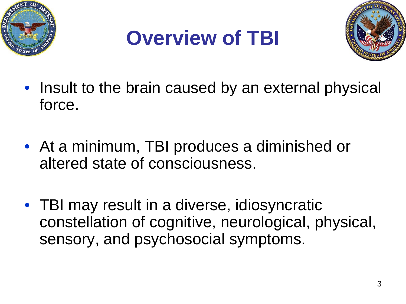





- Insult to the brain caused by an external physical force.
- At a minimum, TBI produces a diminished or altered state of consciousness.
- TBI may result in a diverse, idiosyncratic constellation of cognitive, neurological, physical, sensory, and psychosocial symptoms.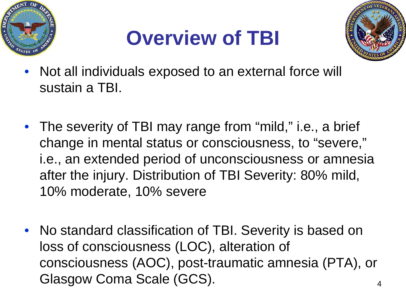





- Not all individuals exposed to an external force will sustain a TBI.
- The severity of TBI may range from "mild," i.e., a brief change in mental status or consciousness, to "severe," i.e., an extended period of unconsciousness or amnesia after the injury. Distribution of TBI Severity: 80% mild, 10% moderate, 10% severe
- No standard classification of TBI. Severity is based on loss of consciousness (LOC), alteration of consciousness (AOC), post-traumatic amnesia (PTA), or Glasgow Coma Scale (GCS).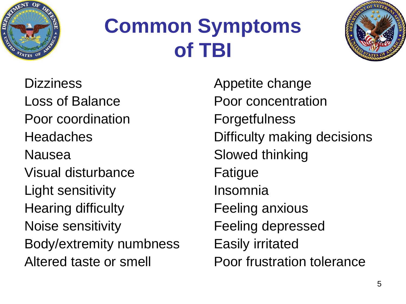

### **Common Symptoms of TBI**



**Dizziness** Loss of Balance Poor coordination Headaches Nausea Visual disturbance Light sensitivity Hearing difficulty Noise sensitivity Body/extremity numbness Altered taste or smell

Appetite change Poor concentration **Forgetfulness** Difficulty making decisions Slowed thinking Fatigue Insomnia Feeling anxious Feeling depressed Easily irritated Poor frustration tolerance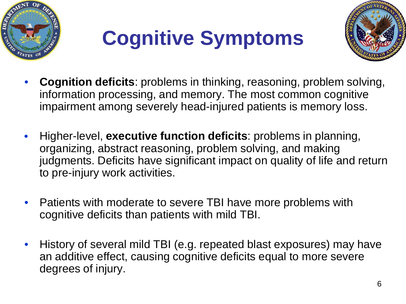





- **Cognition deficits**: problems in thinking, reasoning, problem solving, information processing, and memory. The most common cognitive impairment among severely head-injured patients is memory loss.
- Higher-level, **executive function deficits**: problems in planning, organizing, abstract reasoning, problem solving, and making judgments. Deficits have significant impact on quality of life and return to pre-injury work activities.
- Patients with moderate to severe TBI have more problems with cognitive deficits than patients with mild TBI.
- History of several mild TBI (e.g. repeated blast exposures) may have an additive effect, causing cognitive deficits equal to more severe degrees of injury.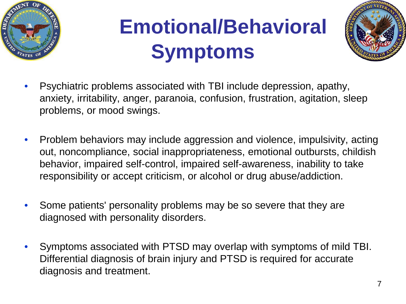

# **Emotional/Behavioral Symptoms**



- Psychiatric problems associated with TBI include depression, apathy, anxiety, irritability, anger, paranoia, confusion, frustration, agitation, sleep problems, or mood swings.
- Problem behaviors may include aggression and violence, impulsivity, acting out, noncompliance, social inappropriateness, emotional outbursts, childish behavior, impaired self-control, impaired self-awareness, inability to take responsibility or accept criticism, or alcohol or drug abuse/addiction.
- Some patients' personality problems may be so severe that they are diagnosed with personality disorders.
- Symptoms associated with PTSD may overlap with symptoms of mild TBI. Differential diagnosis of brain injury and PTSD is required for accurate diagnosis and treatment.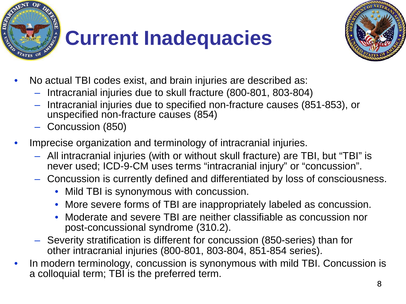



- No actual TBI codes exist, and brain injuries are described as:
	- Intracranial injuries due to skull fracture (800-801, 803-804)
	- Intracranial injuries due to specified non-fracture causes (851-853), or unspecified non-fracture causes (854)
	- Concussion (850)
- Imprecise organization and terminology of intracranial injuries.
	- All intracranial injuries (with or without skull fracture) are TBI, but "TBI" is never used; ICD-9-CM uses terms "intracranial injury" or "concussion".
	- Concussion is currently defined and differentiated by loss of consciousness.
		- Mild TBI is synonymous with concussion.
		- More severe forms of TBI are inappropriately labeled as concussion.
		- Moderate and severe TBI are neither classifiable as concussion nor post-concussional syndrome (310.2).
	- Severity stratification is different for concussion (850-series) than for other intracranial injuries (800-801, 803-804, 851-854 series).
- In modern terminology, concussion is synonymous with mild TBI. Concussion is a colloquial term; TBI is the preferred term.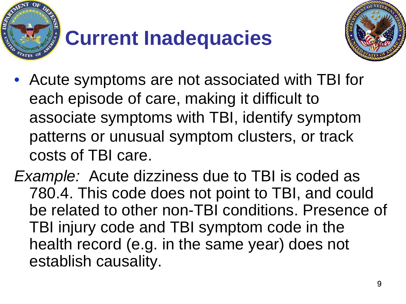



- Acute symptoms are not associated with TBI for each episode of care, making it difficult to associate symptoms with TBI, identify symptom patterns or unusual symptom clusters, or track costs of TBI care.
- *Example:* Acute dizziness due to TBI is coded as 780.4. This code does not point to TBI, and could be related to other non-TBI conditions. Presence of TBI injury code and TBI symptom code in the health record (e.g. in the same year) does not establish causality.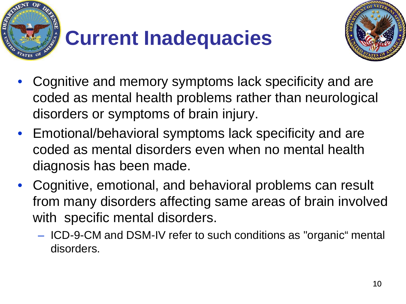



- Cognitive and memory symptoms lack specificity and are coded as mental health problems rather than neurological disorders or symptoms of brain injury.
- Emotional/behavioral symptoms lack specificity and are coded as mental disorders even when no mental health diagnosis has been made.
- Cognitive, emotional, and behavioral problems can result from many disorders affecting same areas of brain involved with specific mental disorders.
	- ICD-9-CM and DSM-IV refer to such conditions as "organic" mental disorders.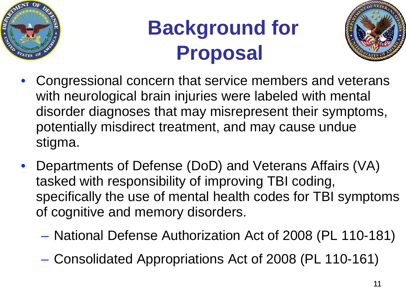

## **Background for Proposal**



- Congressional concern that service members and veterans with neurological brain injuries were labeled with mental disorder diagnoses that may misrepresent their symptoms, potentially misdirect treatment, and may cause undue stigma.
- Departments of Defense (DoD) and Veterans Affairs (VA) tasked with responsibility of improving TBI coding, specifically the use of mental health codes for TBI symptoms of cognitive and memory disorders.
	- National Defense Authorization Act of 2008 (PL 110-181)
	- Consolidated Appropriations Act of 2008 (PL 110-161)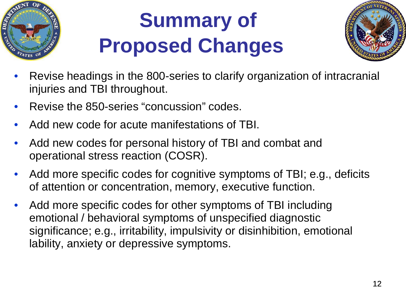

# **Summary of Proposed Changes**



- Revise headings in the 800-series to clarify organization of intracranial injuries and TBI throughout.
- Revise the 850-series "concussion" codes.
- Add new code for acute manifestations of TBI.
- Add new codes for personal history of TBI and combat and operational stress reaction (COSR).
- Add more specific codes for cognitive symptoms of TBI; e.g., deficits of attention or concentration, memory, executive function.
- Add more specific codes for other symptoms of TBI including emotional / behavioral symptoms of unspecified diagnostic significance; e.g., irritability, impulsivity or disinhibition, emotional lability, anxiety or depressive symptoms.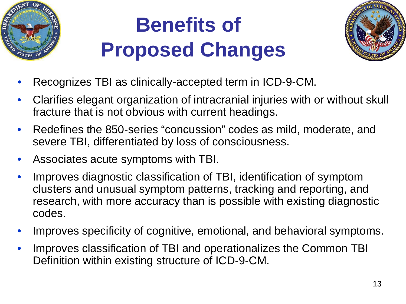

# **Benefits of Proposed Changes**



- Recognizes TBI as clinically-accepted term in ICD-9-CM.
- Clarifies elegant organization of intracranial injuries with or without skull fracture that is not obvious with current headings.
- Redefines the 850-series "concussion" codes as mild, moderate, and severe TBI, differentiated by loss of consciousness.
- Associates acute symptoms with TBI.
- Improves diagnostic classification of TBI, identification of symptom clusters and unusual symptom patterns, tracking and reporting, and research, with more accuracy than is possible with existing diagnostic codes.
- Improves specificity of cognitive, emotional, and behavioral symptoms.
- Improves classification of TBI and operationalizes the Common TBI Definition within existing structure of ICD-9-CM.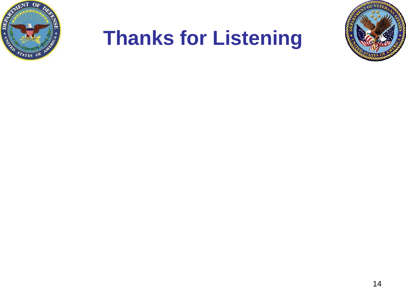

### **Thanks for Listening**

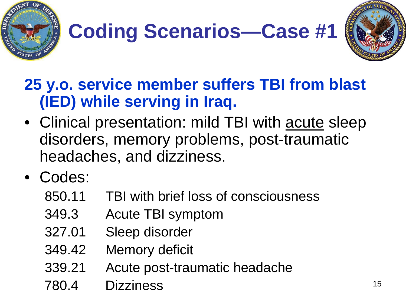



#### **25 y.o. service member suffers TBI from blast (IED) while serving in Iraq.**

- Clinical presentation: mild TBI with acute sleep disorders, memory problems, post-traumatic headaches, and dizziness.
- Codes:
	- 850.11 TBI with brief loss of consciousness
	- 349.3 Acute TBI symptom
	- 327.01 Sleep disorder
	- 349.42 Memory deficit
	- 339.21 Acute post-traumatic headache
	- 780.4 Dizziness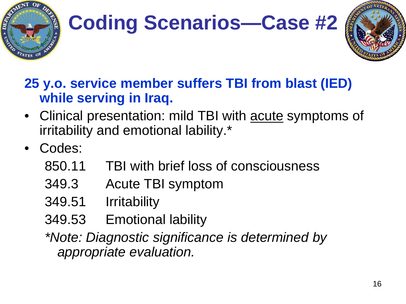



#### **25 y.o. service member suffers TBI from blast (IED) while serving in Iraq.**

- Clinical presentation: mild TBI with acute symptoms of irritability and emotional lability.\*
- Codes:
	- 850.11 TBI with brief loss of consciousness
	- 349.3 Acute TBI symptom
	- 349.51 Irritability
	- 349.53 Emotional lability

*\*Note: Diagnostic significance is determined by appropriate evaluation.*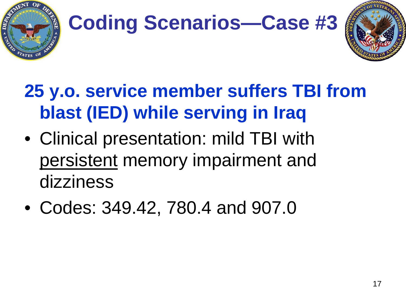



### **25 y.o. service member suffers TBI from blast (IED) while serving in Iraq**

- Clinical presentation: mild TBI with persistent memory impairment and dizziness
- Codes: 349.42, 780.4 and 907.0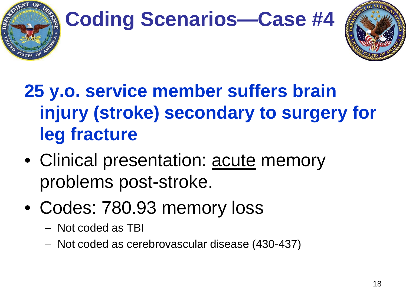



### **25 y.o. service member suffers brain injury (stroke) secondary to surgery for leg fracture**

- Clinical presentation: acute memory problems post-stroke.
- Codes: 780.93 memory loss
	- Not coded as TBI
	- Not coded as cerebrovascular disease (430-437)